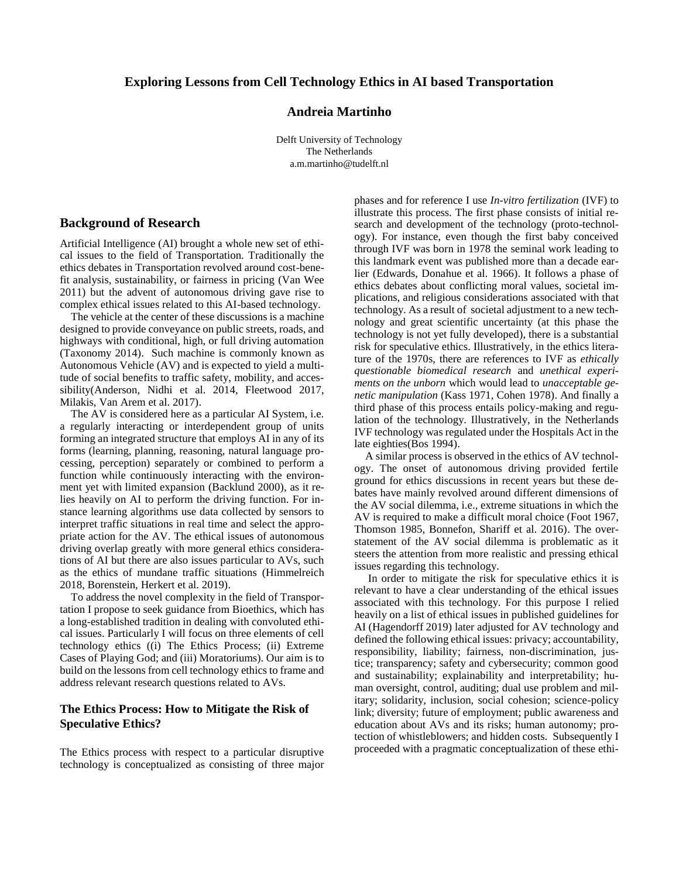#### **Exploring Lessons from Cell Technology Ethics in AI based Transportation**

## **Andreia Martinho**

Delft University of Technology The Netherlands a.m.martinho@tudelft.nl

#### **Background of Research**

Artificial Intelligence (AI) brought a whole new set of ethical issues to the field of Transportation. Traditionally the ethics debates in Transportation revolved around cost-benefit analysis, sustainability, or fairness in pricing (Van Wee 2011) but the advent of autonomous driving gave rise to complex ethical issues related to this AI-based technology.

The vehicle at the center of these discussions is a machine designed to provide conveyance on public streets, roads, and highways with conditional, high, or full driving automation (Taxonomy 2014). Such machine is commonly known as Autonomous Vehicle (AV) and is expected to yield a multitude of social benefits to traffic safety, mobility, and accessibility(Anderson, Nidhi et al. 2014, Fleetwood 2017, Milakis, Van Arem et al. 2017).

The AV is considered here as a particular AI System, i.e. a regularly interacting or interdependent group of units forming an integrated structure that employs AI in any of its forms (learning, planning, reasoning, natural language processing, perception) separately or combined to perform a function while continuously interacting with the environment yet with limited expansion (Backlund 2000), as it relies heavily on AI to perform the driving function. For instance learning algorithms use data collected by sensors to interpret traffic situations in real time and select the appropriate action for the AV. The ethical issues of autonomous driving overlap greatly with more general ethics considerations of AI but there are also issues particular to AVs, such as the ethics of mundane traffic situations (Himmelreich 2018, Borenstein, Herkert et al. 2019).

To address the novel complexity in the field of Transportation I propose to seek guidance from Bioethics, which has a long-established tradition in dealing with convoluted ethical issues. Particularly I will focus on three elements of cell technology ethics ((i) The Ethics Process; (ii) Extreme Cases of Playing God; and (iii) Moratoriums). Our aim is to build on the lessons from cell technology ethics to frame and address relevant research questions related to AVs.

## **The Ethics Process: How to Mitigate the Risk of Speculative Ethics?**

The Ethics process with respect to a particular disruptive technology is conceptualized as consisting of three major phases and for reference I use *In-vitro fertilization* (IVF) to illustrate this process. The first phase consists of initial research and development of the technology (proto-technology). For instance, even though the first baby conceived through IVF was born in 1978 the seminal work leading to this landmark event was published more than a decade earlier (Edwards, Donahue et al. 1966). It follows a phase of ethics debates about conflicting moral values, societal implications, and religious considerations associated with that technology. As a result of societal adjustment to a new technology and great scientific uncertainty (at this phase the technology is not yet fully developed), there is a substantial risk for speculative ethics. Illustratively, in the ethics literature of the 1970s, there are references to IVF as *ethically questionable biomedical research* and *unethical experiments on the unborn* which would lead to *unacceptable genetic manipulation* (Kass 1971, Cohen 1978). And finally a third phase of this process entails policy-making and regulation of the technology. Illustratively, in the Netherlands IVF technology was regulated under the Hospitals Act in the late eighties(Bos 1994).

A similar process is observed in the ethics of AV technology. The onset of autonomous driving provided fertile ground for ethics discussions in recent years but these debates have mainly revolved around different dimensions of the AV social dilemma, i.e., extreme situations in which the AV is required to make a difficult moral choice (Foot 1967, Thomson 1985, Bonnefon, Shariff et al. 2016). The overstatement of the AV social dilemma is problematic as it steers the attention from more realistic and pressing ethical issues regarding this technology.

In order to mitigate the risk for speculative ethics it is relevant to have a clear understanding of the ethical issues associated with this technology. For this purpose I relied heavily on a list of ethical issues in published guidelines for AI (Hagendorff 2019) later adjusted for AV technology and defined the following ethical issues: privacy; accountability, responsibility, liability; fairness, non-discrimination, justice; transparency; safety and cybersecurity; common good and sustainability; explainability and interpretability; human oversight, control, auditing; dual use problem and military; solidarity, inclusion, social cohesion; science-policy link; diversity; future of employment; public awareness and education about AVs and its risks; human autonomy; protection of whistleblowers; and hidden costs. Subsequently I proceeded with a pragmatic conceptualization of these ethi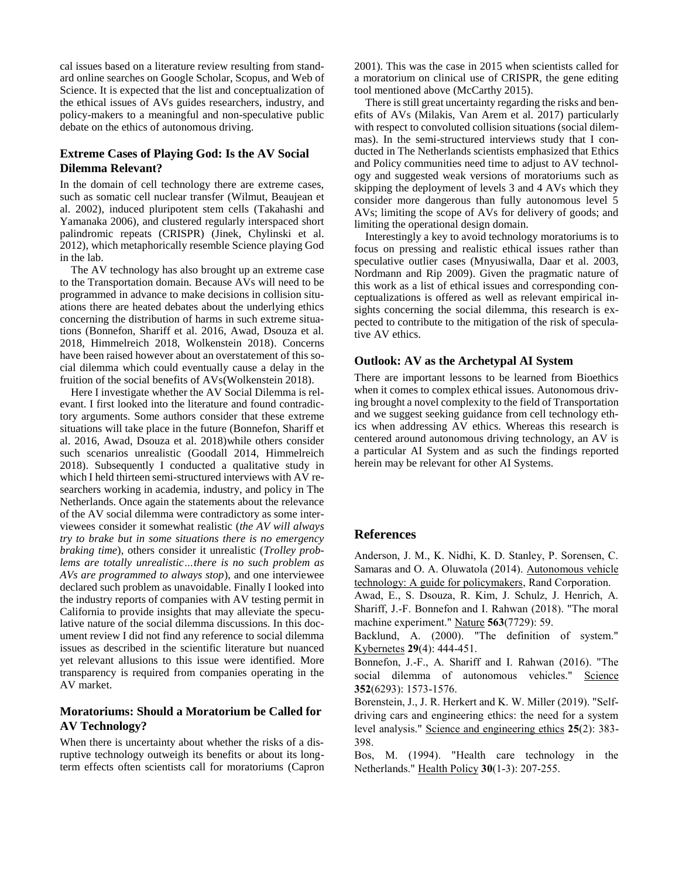cal issues based on a literature review resulting from standard online searches on Google Scholar, Scopus, and Web of Science. It is expected that the list and conceptualization of the ethical issues of AVs guides researchers, industry, and policy-makers to a meaningful and non-speculative public debate on the ethics of autonomous driving.

## **Extreme Cases of Playing God: Is the AV Social Dilemma Relevant?**

In the domain of cell technology there are extreme cases, such as somatic cell nuclear transfer (Wilmut, Beaujean et al. 2002), induced pluripotent stem cells (Takahashi and Yamanaka 2006), and clustered regularly interspaced short palindromic repeats (CRISPR) (Jinek, Chylinski et al. 2012), which metaphorically resemble Science playing God in the lab.

The AV technology has also brought up an extreme case to the Transportation domain. Because AVs will need to be programmed in advance to make decisions in collision situations there are heated debates about the underlying ethics concerning the distribution of harms in such extreme situations (Bonnefon, Shariff et al. 2016, Awad, Dsouza et al. 2018, Himmelreich 2018, Wolkenstein 2018). Concerns have been raised however about an overstatement of this social dilemma which could eventually cause a delay in the fruition of the social benefits of AVs(Wolkenstein 2018).

Here I investigate whether the AV Social Dilemma is relevant. I first looked into the literature and found contradictory arguments. Some authors consider that these extreme situations will take place in the future (Bonnefon, Shariff et al. 2016, Awad, Dsouza et al. 2018)while others consider such scenarios unrealistic (Goodall 2014, Himmelreich 2018). Subsequently I conducted a qualitative study in which I held thirteen semi-structured interviews with AV researchers working in academia, industry, and policy in The Netherlands. Once again the statements about the relevance of the AV social dilemma were contradictory as some interviewees consider it somewhat realistic (*the AV will always try to brake but in some situations there is no emergency braking time*), others consider it unrealistic (*Trolley problems are totally unrealistic…there is no such problem as AVs are programmed to always stop*), and one interviewee declared such problem as unavoidable. Finally I looked into the industry reports of companies with AV testing permit in California to provide insights that may alleviate the speculative nature of the social dilemma discussions. In this document review I did not find any reference to social dilemma issues as described in the scientific literature but nuanced yet relevant allusions to this issue were identified. More transparency is required from companies operating in the AV market.

# **Moratoriums: Should a Moratorium be Called for AV Technology?**

When there is uncertainty about whether the risks of a disruptive technology outweigh its benefits or about its longterm effects often scientists call for moratoriums (Capron 2001). This was the case in 2015 when scientists called for a moratorium on clinical use of CRISPR, the gene editing tool mentioned above (McCarthy 2015).

There is still great uncertainty regarding the risks and benefits of AVs (Milakis, Van Arem et al. 2017) particularly with respect to convoluted collision situations (social dilemmas). In the semi-structured interviews study that I conducted in The Netherlands scientists emphasized that Ethics and Policy communities need time to adjust to AV technology and suggested weak versions of moratoriums such as skipping the deployment of levels 3 and 4 AVs which they consider more dangerous than fully autonomous level 5 AVs; limiting the scope of AVs for delivery of goods; and limiting the operational design domain.

Interestingly a key to avoid technology moratoriums is to focus on pressing and realistic ethical issues rather than speculative outlier cases (Mnyusiwalla, Daar et al. 2003, Nordmann and Rip 2009). Given the pragmatic nature of this work as a list of ethical issues and corresponding conceptualizations is offered as well as relevant empirical insights concerning the social dilemma, this research is expected to contribute to the mitigation of the risk of speculative AV ethics.

#### **Outlook: AV as the Archetypal AI System**

There are important lessons to be learned from Bioethics when it comes to complex ethical issues. Autonomous driving brought a novel complexity to the field of Transportation and we suggest seeking guidance from cell technology ethics when addressing AV ethics. Whereas this research is centered around autonomous driving technology, an AV is a particular AI System and as such the findings reported herein may be relevant for other AI Systems.

#### **References**

Anderson, J. M., K. Nidhi, K. D. Stanley, P. Sorensen, C. Samaras and O. A. Oluwatola (2014). Autonomous vehicle technology: A guide for policymakers, Rand Corporation.

Awad, E., S. Dsouza, R. Kim, J. Schulz, J. Henrich, A. Shariff, J.-F. Bonnefon and I. Rahwan (2018). "The moral machine experiment." Nature **563**(7729): 59.

Backlund, A. (2000). "The definition of system." Kybernetes **29**(4): 444-451.

Bonnefon, J.-F., A. Shariff and I. Rahwan (2016). "The social dilemma of autonomous vehicles." Science **352**(6293): 1573-1576.

Borenstein, J., J. R. Herkert and K. W. Miller (2019). "Selfdriving cars and engineering ethics: the need for a system level analysis." Science and engineering ethics **25**(2): 383- 398.

Bos, M. (1994). "Health care technology in the Netherlands." Health Policy **30**(1-3): 207-255.